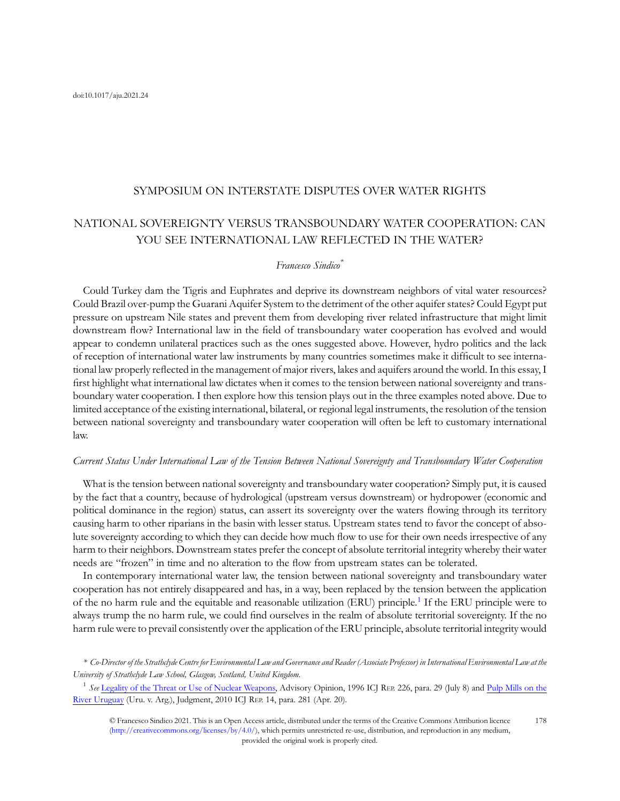### SYMPOSIUM ON INTERSTATE DISPUTES OVER WATER RIGHTS

# NATIONAL SOVEREIGNTY VERSUS TRANSBOUNDARY WATER COOPERATION: CAN YOU SEE INTERNATIONAL LAW REFLECTED IN THE WATER?

#### Francesco Sindico<sup>\*</sup>

Could Turkey dam the Tigris and Euphrates and deprive its downstream neighbors of vital water resources? Could Brazil over-pump the Guarani Aquifer System to the detriment of the other aquifer states? Could Egypt put pressure on upstream Nile states and prevent them from developing river related infrastructure that might limit downstream flow? International law in the field of transboundary water cooperation has evolved and would appear to condemn unilateral practices such as the ones suggested above. However, hydro politics and the lack of reception of international water law instruments by many countries sometimes make it difficult to see international law properly reflected in the management of major rivers, lakes and aquifers around the world. In this essay, I first highlight what international law dictates when it comes to the tension between national sovereignty and transboundary water cooperation. I then explore how this tension plays out in the three examples noted above. Due to limited acceptance of the existing international, bilateral, or regional legal instruments, the resolution of the tension between national sovereignty and transboundary water cooperation will often be left to customary international law.

#### Current Status Under International Law of the Tension Between National Sovereignty and Transboundary Water Cooperation

What is the tension between national sovereignty and transboundary water cooperation? Simply put, it is caused by the fact that a country, because of hydrological (upstream versus downstream) or hydropower (economic and political dominance in the region) status, can assert its sovereignty over the waters flowing through its territory causing harm to other riparians in the basin with lesser status. Upstream states tend to favor the concept of absolute sovereignty according to which they can decide how much flow to use for their own needs irrespective of any harm to their neighbors. Downstream states prefer the concept of absolute territorial integrity whereby their water needs are "frozen" in time and no alteration to the flow from upstream states can be tolerated.

In contemporary international water law, the tension between national sovereignty and transboundary water cooperation has not entirely disappeared and has, in a way, been replaced by the tension between the application of the no harm rule and the equitable and reasonable utilization (ERU) principle.<sup>1</sup> If the ERU principle were to always trump the no harm rule, we could find ourselves in the realm of absolute territorial sovereignty. If the no harm rule were to prevail consistently over the application of the ERU principle, absolute territorial integrity would

\* Co-Director of the Strathclyde Centre for Environmental Law and Governance and Reader (Associate Professor) in International Environmental Law at the University of Strathclyde Law School, Glasgow, Scotland, United Kingdom.

<sup>1</sup> See [Legality of the Threat or Use of Nuclear Weapons](https://www.icj-cij.org/en/case/95), Advisory Opinion, 1996 ICJ REP. 226, para. 29 (July 8) and [Pulp Mills on the](https://www.icj-cij.org/en/case/135/judgments) [River Uruguay](https://www.icj-cij.org/en/case/135/judgments) (Uru. v. Arg.), Judgment, 2010 ICJ REP. 14, para. 281 (Apr. 20).

© Francesco Sindico 2021. This is an Open Access article, distributed under the terms of the Creative Commons Attribution licence [\(http://creativecommons.org/licenses/by/4.0/](http://creativecommons.org/licenses/by/4.0/)), which permits unrestricted re-use, distribution, and reproduction in any medium, provided the original work is properly cited. 178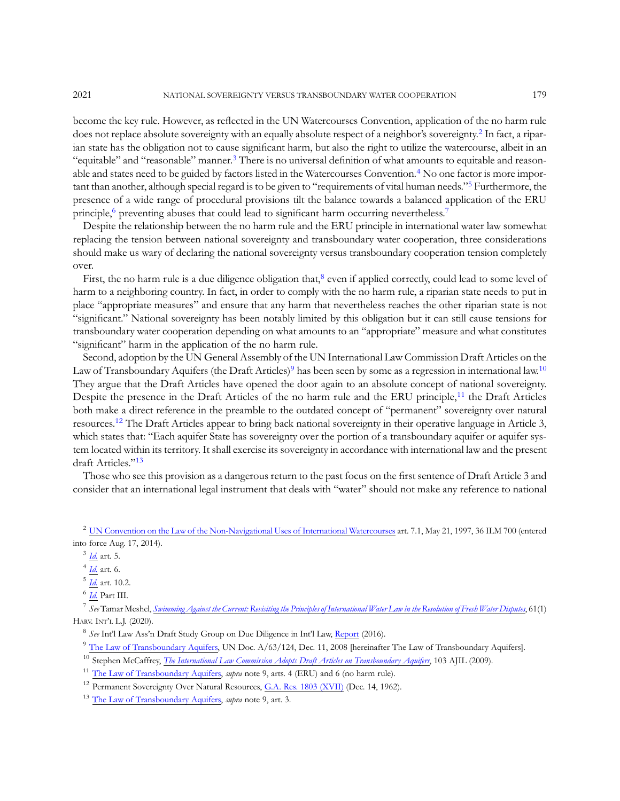become the key rule. However, as reflected in the UN Watercourses Convention, application of the no harm rule does not replace absolute sovereignty with an equally absolute respect of a neighbor's sovereignty.<sup>2</sup> In fact, a riparian state has the obligation not to cause significant harm, but also the right to utilize the watercourse, albeit in an "equitable" and "reasonable" manner.<sup>3</sup> There is no universal definition of what amounts to equitable and reasonable and states need to be guided by factors listed in the Watercourses Convention.<sup>4</sup> No one factor is more important than another, although special regard is to be given to "requirements of vital human needs."<sup>5</sup> Furthermore, the presence of a wide range of procedural provisions tilt the balance towards a balanced application of the ERU principle,<sup>6</sup> preventing abuses that could lead to significant harm occurring nevertheless.<sup>7</sup>

Despite the relationship between the no harm rule and the ERU principle in international water law somewhat replacing the tension between national sovereignty and transboundary water cooperation, three considerations should make us wary of declaring the national sovereignty versus transboundary cooperation tension completely over.

First, the no harm rule is a due diligence obligation that, $^8$  even if applied correctly, could lead to some level of harm to a neighboring country. In fact, in order to comply with the no harm rule, a riparian state needs to put in place "appropriate measures" and ensure that any harm that nevertheless reaches the other riparian state is not "significant." National sovereignty has been notably limited by this obligation but it can still cause tensions for transboundary water cooperation depending on what amounts to an "appropriate" measure and what constitutes "significant" harm in the application of the no harm rule.

Second, adoption by the UN General Assembly of the UN International Law Commission Draft Articles on the Law of Transboundary Aquifers (the Draft Articles)<sup>9</sup> has been seen by some as a regression in international law.<sup>10</sup> They argue that the Draft Articles have opened the door again to an absolute concept of national sovereignty. Despite the presence in the Draft Articles of the no harm rule and the ERU principle,<sup>11</sup> the Draft Articles both make a direct reference in the preamble to the outdated concept of "permanent" sovereignty over natural resources.<sup>12</sup> The Draft Articles appear to bring back national sovereignty in their operative language in Article 3, which states that: "Each aquifer State has sovereignty over the portion of a transboundary aquifer or aquifer system located within its territory. It shall exercise its sovereignty in accordance with international law and the present draft Articles."<sup>13</sup>

Those who see this provision as a dangerous return to the past focus on the first sentence of Draft Article 3 and consider that an international legal instrument that deals with "water" should not make any reference to national

<sup>2</sup> [UN Convention on the Law of the Non-Navigational Uses of International Watercourses](https://legal.un.org/ilc/texts/instruments/english/conventions/8_3_1997.pdf) art. 7.1, May 21, 1997, 36 ILM 700 (entered into force Aug. 17, 2014).

<sup>7</sup> See Tamar Meshel, [Swimming Against the Current: Revisiting the Principles of International Water Law in the Resolution of Fresh Water Disputes](https://harvardilj.org/wp-content/uploads/sites/15/61.1-Meshel.pdf), 61(1) HARV. INT'<sup>L</sup> L.J. (2020).

<sup>8</sup> See Int'l Law Ass'n Draft Study Group on Due Diligence in Int'l Law, [Report](https://www.ila-hq.org/index.php/study-groups) (2016).

<sup>9</sup> [The Law of Transboundary Aquifers](https://digitallibrary.un.org/record/643188?ln=en), UN Doc. A/63/124, Dec. 11, 2008 [hereinafter The Law of Transboundary Aquifers]. <sup>10</sup> Stephen McCaffrey, [The International Law Commission Adopts Draft Articles on Transboundary Aquifers](https://www.jstor.org/stable/20535150?seq=1), 103 AJIL (2009).

<sup>11</sup> [The Law of Transboundary Aquifers](https://digitallibrary.un.org/record/643188?ln=en), *supra* note 9, arts. 4 (ERU) and 6 (no harm rule).

 $3$   $\underline{Id}$  art. 5.

 $4$  [Id.](https://legal.un.org/ilc/texts/instruments/english/conventions/8_3_1997.pdf) art. 6.

[Id.](https://legal.un.org/ilc/texts/instruments/english/conventions/8_3_1997.pdf) art. 10.2.

 $^6$   $\emph{Id.}$  $\emph{Id.}$  $\emph{Id.}$  Part III.

<sup>&</sup>lt;sup>12</sup> Permanent Sovereignty Over Natural Resources, [G.A. Res. 1803 \(XVII\)](https://legal.un.org/avl/ha/ga_1803/ga_1803.html) (Dec. 14, 1962).

<sup>&</sup>lt;sup>13</sup> [The Law of Transboundary Aquifers](https://digitallibrary.un.org/record/643188?ln=en), *supra* note 9, art. 3.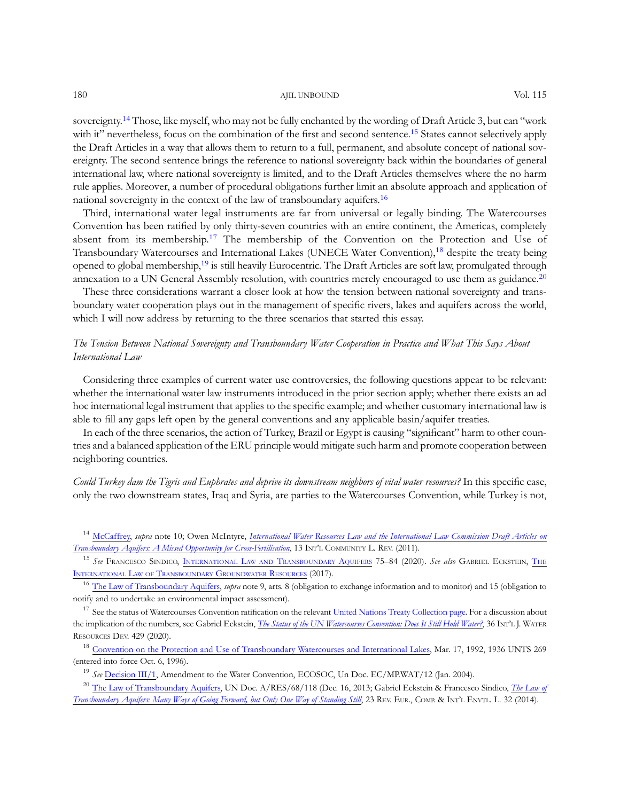#### 180 AJIL UNBOUND Vol. 115

sovereignty.14 Those, like myself, who may not be fully enchanted by the wording of Draft Article 3, but can "work with it" nevertheless, focus on the combination of the first and second sentence.<sup>15</sup> States cannot selectively apply the Draft Articles in a way that allows them to return to a full, permanent, and absolute concept of national sovereignty. The second sentence brings the reference to national sovereignty back within the boundaries of general international law, where national sovereignty is limited, and to the Draft Articles themselves where the no harm rule applies. Moreover, a number of procedural obligations further limit an absolute approach and application of national sovereignty in the context of the law of transboundary aquifers.<sup>16</sup>

Third, international water legal instruments are far from universal or legally binding. The Watercourses Convention has been ratified by only thirty-seven countries with an entire continent, the Americas, completely absent from its membership.<sup>17</sup> The membership of the Convention on the Protection and Use of Transboundary Watercourses and International Lakes (UNECE Water Convention),<sup>18</sup> despite the treaty being opened to global membership,19 is still heavily Eurocentric. The Draft Articles are soft law, promulgated through annexation to a UN General Assembly resolution, with countries merely encouraged to use them as guidance.<sup>20</sup>

These three considerations warrant a closer look at how the tension between national sovereignty and transboundary water cooperation plays out in the management of specific rivers, lakes and aquifers across the world, which I will now address by returning to the three scenarios that started this essay.

## The Tension Between National Sovereignty and Transboundary Water Cooperation in Practice and What This Says About International Law

Considering three examples of current water use controversies, the following questions appear to be relevant: whether the international water law instruments introduced in the prior section apply; whether there exists an ad hoc international legal instrument that applies to the specific example; and whether customary international law is able to fill any gaps left open by the general conventions and any applicable basin/aquifer treaties.

In each of the three scenarios, the action of Turkey, Brazil or Egypt is causing "significant" harm to other countries and a balanced application of the ERU principle would mitigate such harm and promote cooperation between neighboring countries.

Could Turkey dam the Tigris and Euphrates and deprive its downstream neighbors of vital water resources? In this specific case, only the two downstream states, Iraq and Syria, are parties to the Watercourses Convention, while Turkey is not,

<sup>14</sup> [McCaffrey,](https://www.jstor.org/stable/20535150?seq=1) supra note 10; Owen McIntyre, [International Water Resources Law and the International Law Commission Draft Articles on](https://www.researchgate.net/publication/259975370_International_Water_Resources_Law_and_the_International_Law_Commission_Draft_Articles_on_Transboundary_Aquifers_A_Missed_Opportunity_for_Cross-Fertilisation) [Transboundary Aquifers: A Missed Opportunity for Cross-Fertilisation](https://www.researchgate.net/publication/259975370_International_Water_Resources_Law_and_the_International_Law_Commission_Draft_Articles_on_Transboundary_Aquifers_A_Missed_Opportunity_for_Cross-Fertilisation), 13 INT'L COMMUNITY L. REV. (2011).

<sup>15</sup> See Francesco Sindico, International Law and Transboundary Aquifers 75–84 (2020). See also Gabriel Eckstein, The INTERNATIONAL LAW OF [TRANSBOUNDARY](https://www.routledge.com/The-International-Law-of-Transboundary-Groundwater-Resources/Eckstein/p/book/9781138842991) GROUNDWATER RESOURCES (2017).

<sup>16</sup> [The Law of Transboundary Aquifers](https://digitallibrary.un.org/record/643188?ln=en), *supra* note 9, arts. 8 (obligation to exchange information and to monitor) and 15 (obligation to notify and to undertake an environmental impact assessment).

<sup>17</sup> See the status of Watercourses Convention ratification on the relevant [United Nations Treaty Collection page.](https://treaties.un.org/Pages/ViewDetails.aspx?src=TREATY&mtdsg_no=XXVII-12&chapter=27&clang=_en) For a discussion about the implication of the numbers, see Gabriel Eckstein, [The Status of the UN Watercourses Convention: Does It Still Hold Water?](https://papers.ssrn.com/sol3/papers.cfm?abstract_id=3518692), 36 INT'L J. WATER RESOURCES DEV. 429 (2020).

<sup>18</sup> [Convention on the Protection and Use of Transboundary Watercourses and International Lakes,](https://unece.org/fileadmin/DAM/env/water/pdf/watercon.pdf) Mar. 17, 1992, 1936 UNTS 269 (entered into force Oct. 6, 1996).

<sup>19</sup> See [Decision III/1](https://unece.org/DAM/env/water/meetings/documents.htm), Amendment to the Water Convention, ECOSOC, Un Doc. EC/MP.WAT/12 (Jan. 2004).

<sup>20</sup> [The Law of Transboundary Aquifers,](https://undocs.org/en/A/RES/68/118) UN Doc.  $A/RES/68/118$  (Dec. 16, 2013; Gabriel Eckstein & Francesco Sindico, [The Law of](https://papers.ssrn.com/sol3/papers.cfm?abstract_id=2429569) [Transboundary Aquifers: Many Ways of Going Forward, but Only One Way of Standing Still](https://papers.ssrn.com/sol3/papers.cfm?abstract_id=2429569), 23 REV. EUR., COMP. & INT'L ENVTL. L. 32 (2014).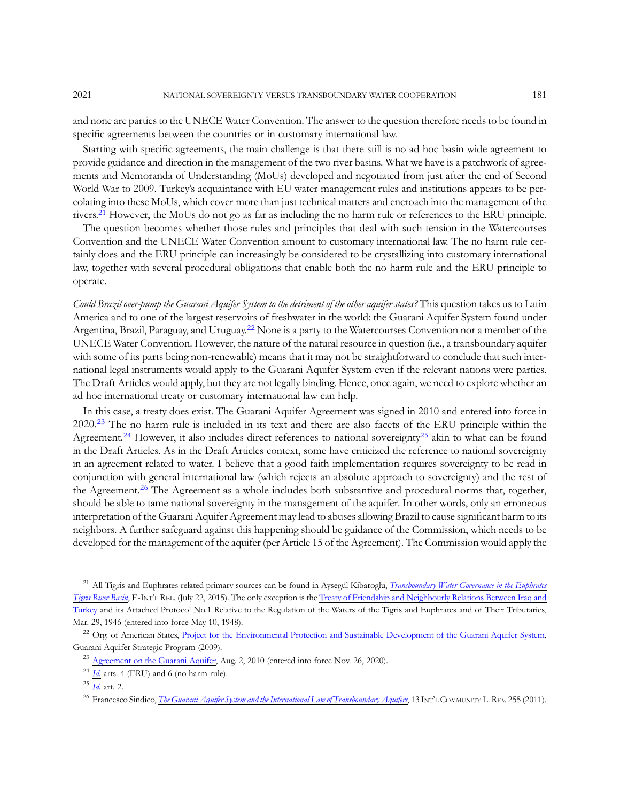and none are parties to the UNECE Water Convention. The answer to the question therefore needs to be found in specific agreements between the countries or in customary international law.

Starting with specific agreements, the main challenge is that there still is no ad hoc basin wide agreement to provide guidance and direction in the management of the two river basins. What we have is a patchwork of agreements and Memoranda of Understanding (MoUs) developed and negotiated from just after the end of Second World War to 2009. Turkey's acquaintance with EU water management rules and institutions appears to be percolating into these MoUs, which cover more than just technical matters and encroach into the management of the rivers.<sup>21</sup> However, the MoUs do not go as far as including the no harm rule or references to the ERU principle.

The question becomes whether those rules and principles that deal with such tension in the Watercourses Convention and the UNECE Water Convention amount to customary international law. The no harm rule certainly does and the ERU principle can increasingly be considered to be crystallizing into customary international law, together with several procedural obligations that enable both the no harm rule and the ERU principle to operate.

Could Brazil over-pump the Guarani Aquifer System to the detriment of the other aquifer states? This question takes us to Latin America and to one of the largest reservoirs of freshwater in the world: the Guarani Aquifer System found under Argentina, Brazil, Paraguay, and Uruguay.<sup>22</sup> None is a party to the Watercourses Convention nor a member of the UNECE Water Convention. However, the nature of the natural resource in question (i.e., a transboundary aquifer with some of its parts being non-renewable) means that it may not be straightforward to conclude that such international legal instruments would apply to the Guarani Aquifer System even if the relevant nations were parties. The Draft Articles would apply, but they are not legally binding. Hence, once again, we need to explore whether an ad hoc international treaty or customary international law can help.

In this case, a treaty does exist. The Guarani Aquifer Agreement was signed in 2010 and entered into force in 2020.<sup>23</sup> The no harm rule is included in its text and there are also facets of the ERU principle within the Agreement.<sup>24</sup> However, it also includes direct references to national sovereignty<sup>25</sup> akin to what can be found in the Draft Articles. As in the Draft Articles context, some have criticized the reference to national sovereignty in an agreement related to water. I believe that a good faith implementation requires sovereignty to be read in conjunction with general international law (which rejects an absolute approach to sovereignty) and the rest of the Agreement.<sup>26</sup> The Agreement as a whole includes both substantive and procedural norms that, together, should be able to tame national sovereignty in the management of the aquifer. In other words, only an erroneous interpretation of the Guarani Aquifer Agreement may lead to abuses allowing Brazil to cause significant harm to its neighbors. A further safeguard against this happening should be guidance of the Commission, which needs to be developed for the management of the aquifer (per Article 15 of the Agreement). The Commission would apply the

<sup>21</sup> All Tigris and Euphrates related primary sources can be found in Aysegül Kibaroglu, *[Transboundary Water Governance in the Euphrates](https://www.e-ir.info/2015/07/22/transboundary-water-governance-in-the-euphrates-tigris-river-basin/)* [Tigris River Basin](https://www.e-ir.info/2015/07/22/transboundary-water-governance-in-the-euphrates-tigris-river-basin/), E-INT'L REL. (July 22, 2015). The only exception is the [Treaty of Friendship and Neighbourly Relations Between Iraq and](https://www.internationalwaterlaw.org/documents/regionaldocs/Iraq-Turkey-Friendship_1946.pdf) [Turkey](https://www.internationalwaterlaw.org/documents/regionaldocs/Iraq-Turkey-Friendship_1946.pdf) and its Attached Protocol No.1 Relative to the Regulation of the Waters of the Tigris and Euphrates and of Their Tributaries, Mar. 29, 1946 (entered into force May 10, 1948).

<sup>22</sup> Org. of American States, [Project for the Environmental Protection and Sustainable Development of the Guarani Aquifer System](http://www.oas.org/DSD/WaterResources/projects/Guarani/SAP-Guarani.pdf), Guarani Aquifer Strategic Program (2009).

<sup>&</sup>lt;sup>23</sup> [Agreement on the Guarani Aquifer](https://www.internationalwaterlaw.org/documents/regionaldocs/Guarani_Aquifer_Agreement-English.pdf), Aug. 2, 2010 (entered into force Nov. 26, 2020).

 $24$  *[Id.](https://www.internationalwaterlaw.org/documents/regionaldocs/Guarani_Aquifer_Agreement-English.pdf)* arts. 4 (ERU) and 6 (no harm rule).

 $25$  *[Id.](https://www.internationalwaterlaw.org/documents/regionaldocs/Guarani_Aquifer_Agreement-English.pdf)* art. 2.

<sup>&</sup>lt;sup>26</sup> Francesco Sindico, *[The Guarani Aquifer System and the International Law of Transboundary Aquifers](https://pureportal.strath.ac.uk/en/publications/the-guarani-aquifer-system-and-the-international-law-of-transboun)*, 13 INT'L COMMUNITY L. REV. 255 (2011).